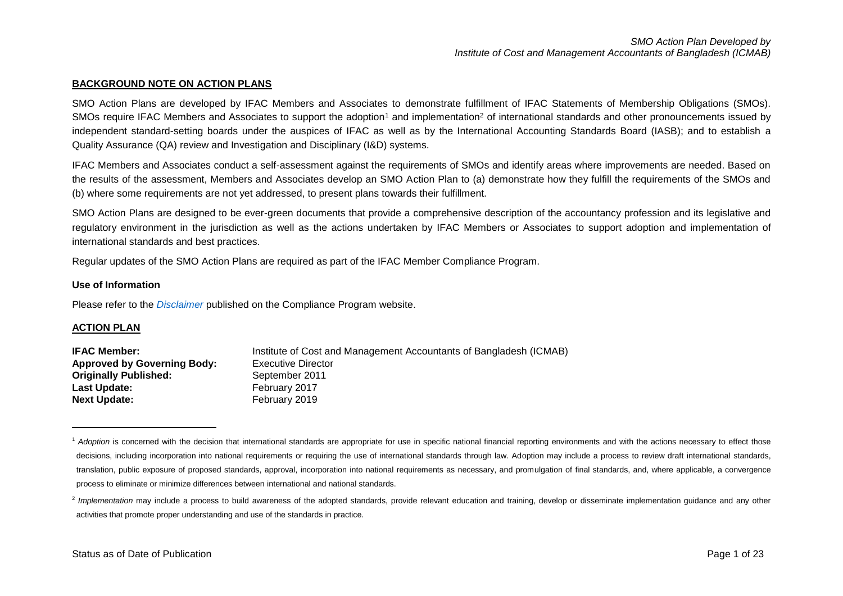#### **BACKGROUND NOTE ON ACTION PLANS**

SMO Action Plans are developed by IFAC Members and Associates to demonstrate fulfillment of IFAC Statements of Membership Obligations (SMOs). SMOs require IFAC Members and Associates to support the adoption<sup>1</sup> and implementation<sup>2</sup> of international standards and other pronouncements issued by independent standard-setting boards under the auspices of IFAC as well as by the International Accounting Standards Board (IASB); and to establish a Quality Assurance (QA) review and Investigation and Disciplinary (I&D) systems.

IFAC Members and Associates conduct a self-assessment against the requirements of SMOs and identify areas where improvements are needed. Based on the results of the assessment, Members and Associates develop an SMO Action Plan to (a) demonstrate how they fulfill the requirements of the SMOs and (b) where some requirements are not yet addressed, to present plans towards their fulfillment.

SMO Action Plans are designed to be ever-green documents that provide a comprehensive description of the accountancy profession and its legislative and regulatory environment in the jurisdiction as well as the actions undertaken by IFAC Members or Associates to support adoption and implementation of international standards and best practices.

Regular updates of the SMO Action Plans are required as part of the IFAC Member Compliance Program.

#### **Use of Information**

Please refer to the *[Disclaimer](http://www.ifac.org/about-ifac/membership/members/disclaimer)* published on the Compliance Program website.

#### **ACTION PLAN**

 $\overline{a}$ 

| <b>IFAC Member:</b>                | Institute of Cost and Management Accountants of Bangladesh (ICMAB) |
|------------------------------------|--------------------------------------------------------------------|
| <b>Approved by Governing Body:</b> | Executive Director                                                 |
| <b>Originally Published:</b>       | September 2011                                                     |
| Last Update:                       | February 2017                                                      |
| <b>Next Update:</b>                | February 2019                                                      |

<sup>&</sup>lt;sup>1</sup> Adoption is concerned with the decision that international standards are appropriate for use in specific national financial reporting environments and with the actions necessary to effect those decisions, including incorporation into national requirements or requiring the use of international standards through law. Adoption may include a process to review draft international standards, translation, public exposure of proposed standards, approval, incorporation into national requirements as necessary, and promulgation of final standards, and, where applicable, a convergence process to eliminate or minimize differences between international and national standards.

<sup>&</sup>lt;sup>2</sup> Implementation may include a process to build awareness of the adopted standards, provide relevant education and training, develop or disseminate implementation guidance and any other activities that promote proper understanding and use of the standards in practice.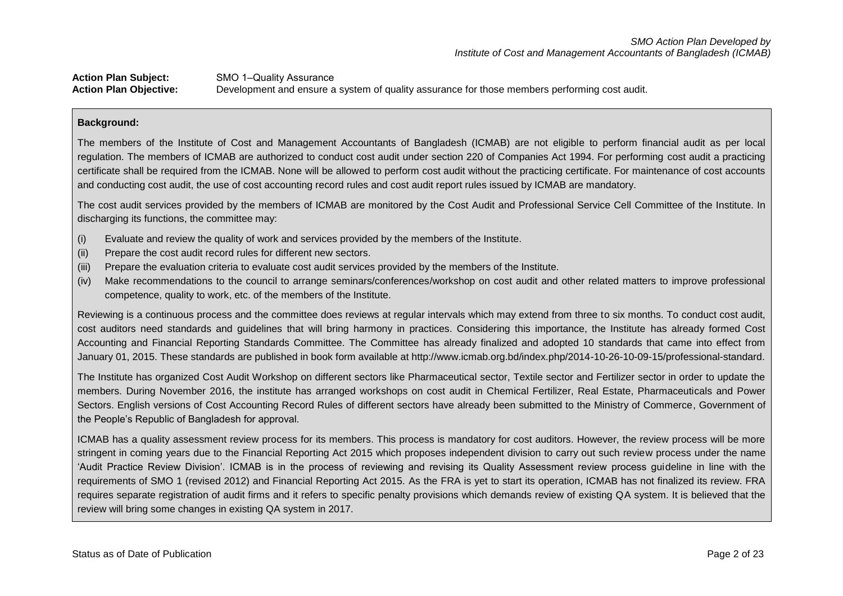## Action Plan Subject: SMO 1-Quality Assurance **Action Plan Objective:** Development and ensure a system of quality assurance for those members performing cost audit.

### **Background:**

The members of the Institute of Cost and Management Accountants of Bangladesh (ICMAB) are not eligible to perform financial audit as per local regulation. The members of ICMAB are authorized to conduct cost audit under section 220 of Companies Act 1994. For performing cost audit a practicing certificate shall be required from the ICMAB. None will be allowed to perform cost audit without the practicing certificate. For maintenance of cost accounts and conducting cost audit, the use of cost accounting record rules and cost audit report rules issued by ICMAB are mandatory.

The cost audit services provided by the members of ICMAB are monitored by the Cost Audit and Professional Service Cell Committee of the Institute. In discharging its functions, the committee may:

- (i) Evaluate and review the quality of work and services provided by the members of the Institute.
- (ii) Prepare the cost audit record rules for different new sectors.
- (iii) Prepare the evaluation criteria to evaluate cost audit services provided by the members of the Institute.
- (iv) Make recommendations to the council to arrange seminars/conferences/workshop on cost audit and other related matters to improve professional competence, quality to work, etc. of the members of the Institute.

Reviewing is a continuous process and the committee does reviews at regular intervals which may extend from three to six months. To conduct cost audit, cost auditors need standards and guidelines that will bring harmony in practices. Considering this importance, the Institute has already formed Cost Accounting and Financial Reporting Standards Committee. The Committee has already finalized and adopted 10 standards that came into effect from January 01, 2015. These standards are published in book form available at http://www.icmab.org.bd/index.php/2014-10-26-10-09-15/professional-standard.

The Institute has organized Cost Audit Workshop on different sectors like Pharmaceutical sector, Textile sector and Fertilizer sector in order to update the members. During November 2016, the institute has arranged workshops on cost audit in Chemical Fertilizer, Real Estate, Pharmaceuticals and Power Sectors. English versions of Cost Accounting Record Rules of different sectors have already been submitted to the Ministry of Commerce, Government of the People's Republic of Bangladesh for approval.

ICMAB has a quality assessment review process for its members. This process is mandatory for cost auditors. However, the review process will be more stringent in coming years due to the Financial Reporting Act 2015 which proposes independent division to carry out such review process under the name 'Audit Practice Review Division'. ICMAB is in the process of reviewing and revising its Quality Assessment review process guideline in line with the requirements of SMO 1 (revised 2012) and Financial Reporting Act 2015. As the FRA is yet to start its operation, ICMAB has not finalized its review. FRA requires separate registration of audit firms and it refers to specific penalty provisions which demands review of existing QA system. It is believed that the review will bring some changes in existing QA system in 2017.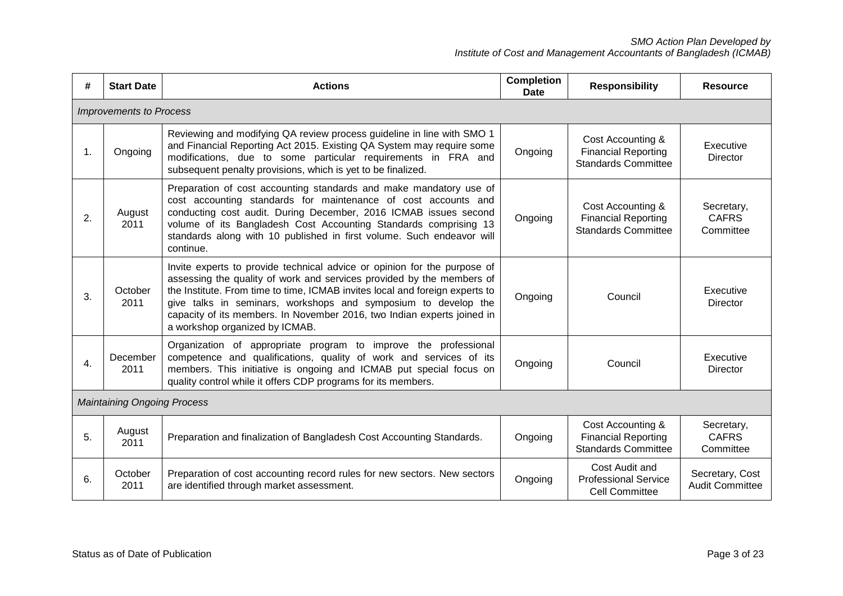| #              | <b>Start Date</b>                  | <b>Actions</b>                                                                                                                                                                                                                                                                                                                                                                                                   | <b>Completion</b><br>Date | <b>Responsibility</b>                                                         | <b>Resource</b>                           |  |  |
|----------------|------------------------------------|------------------------------------------------------------------------------------------------------------------------------------------------------------------------------------------------------------------------------------------------------------------------------------------------------------------------------------------------------------------------------------------------------------------|---------------------------|-------------------------------------------------------------------------------|-------------------------------------------|--|--|
|                | <b>Improvements to Process</b>     |                                                                                                                                                                                                                                                                                                                                                                                                                  |                           |                                                                               |                                           |  |  |
| $\mathbf{1}$ . | Ongoing                            | Reviewing and modifying QA review process guideline in line with SMO 1<br>and Financial Reporting Act 2015. Existing QA System may require some<br>modifications, due to some particular requirements in FRA and<br>subsequent penalty provisions, which is yet to be finalized.                                                                                                                                 | Ongoing                   | Cost Accounting &<br><b>Financial Reporting</b><br><b>Standards Committee</b> | Executive<br><b>Director</b>              |  |  |
| 2.             | August<br>2011                     | Preparation of cost accounting standards and make mandatory use of<br>cost accounting standards for maintenance of cost accounts and<br>conducting cost audit. During December, 2016 ICMAB issues second<br>volume of its Bangladesh Cost Accounting Standards comprising 13<br>standards along with 10 published in first volume. Such endeavor will<br>continue.                                               | Ongoing                   | Cost Accounting &<br><b>Financial Reporting</b><br><b>Standards Committee</b> | Secretary,<br><b>CAFRS</b><br>Committee   |  |  |
| 3.             | October<br>2011                    | Invite experts to provide technical advice or opinion for the purpose of<br>assessing the quality of work and services provided by the members of<br>the Institute. From time to time, ICMAB invites local and foreign experts to<br>give talks in seminars, workshops and symposium to develop the<br>capacity of its members. In November 2016, two Indian experts joined in<br>a workshop organized by ICMAB. | Ongoing                   | Council                                                                       | Executive<br><b>Director</b>              |  |  |
| 4.             | December<br>2011                   | Organization of appropriate program to improve the professional<br>competence and qualifications, quality of work and services of its<br>members. This initiative is ongoing and ICMAB put special focus on<br>quality control while it offers CDP programs for its members.                                                                                                                                     | Ongoing                   | Council                                                                       | Executive<br><b>Director</b>              |  |  |
|                | <b>Maintaining Ongoing Process</b> |                                                                                                                                                                                                                                                                                                                                                                                                                  |                           |                                                                               |                                           |  |  |
| 5.             | August<br>2011                     | Preparation and finalization of Bangladesh Cost Accounting Standards.                                                                                                                                                                                                                                                                                                                                            | Ongoing                   | Cost Accounting &<br><b>Financial Reporting</b><br><b>Standards Committee</b> | Secretary,<br><b>CAFRS</b><br>Committee   |  |  |
| 6.             | October<br>2011                    | Preparation of cost accounting record rules for new sectors. New sectors<br>are identified through market assessment.                                                                                                                                                                                                                                                                                            | Ongoing                   | Cost Audit and<br><b>Professional Service</b><br><b>Cell Committee</b>        | Secretary, Cost<br><b>Audit Committee</b> |  |  |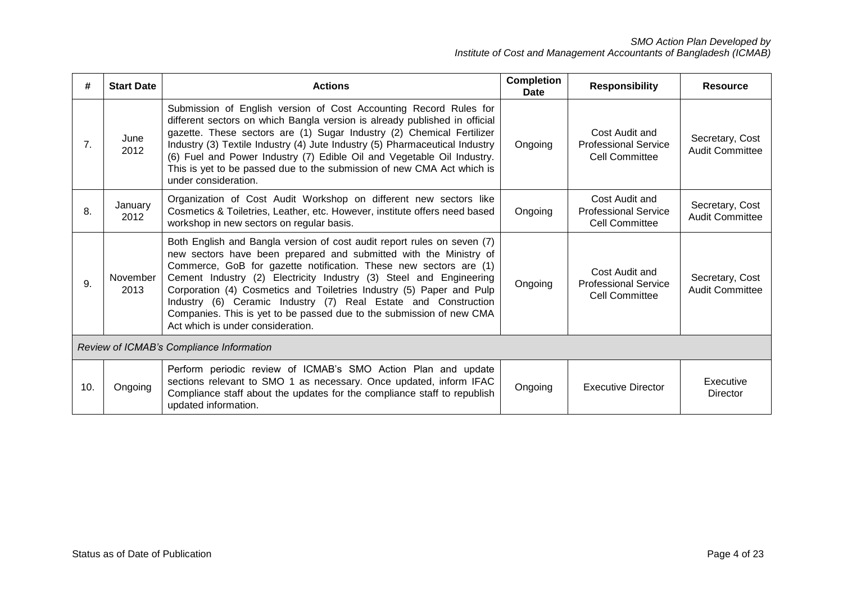| #   | <b>Start Date</b>                        | <b>Actions</b>                                                                                                                                                                                                                                                                                                                                                                                                                                                                                                                                 | <b>Completion</b><br>Date | <b>Responsibility</b>                                                  | <b>Resource</b>                           |  |  |
|-----|------------------------------------------|------------------------------------------------------------------------------------------------------------------------------------------------------------------------------------------------------------------------------------------------------------------------------------------------------------------------------------------------------------------------------------------------------------------------------------------------------------------------------------------------------------------------------------------------|---------------------------|------------------------------------------------------------------------|-------------------------------------------|--|--|
| 7.  | June<br>2012                             | Submission of English version of Cost Accounting Record Rules for<br>different sectors on which Bangla version is already published in official<br>gazette. These sectors are (1) Sugar Industry (2) Chemical Fertilizer<br>Industry (3) Textile Industry (4) Jute Industry (5) Pharmaceutical Industry<br>(6) Fuel and Power Industry (7) Edible Oil and Vegetable Oil Industry.<br>This is yet to be passed due to the submission of new CMA Act which is<br>under consideration.                                                            | Ongoing                   | Cost Audit and<br><b>Professional Service</b><br><b>Cell Committee</b> | Secretary, Cost<br><b>Audit Committee</b> |  |  |
| 8.  | January<br>2012                          | Organization of Cost Audit Workshop on different new sectors like<br>Cosmetics & Toiletries, Leather, etc. However, institute offers need based<br>workshop in new sectors on regular basis.                                                                                                                                                                                                                                                                                                                                                   | Ongoing                   | Cost Audit and<br><b>Professional Service</b><br><b>Cell Committee</b> | Secretary, Cost<br><b>Audit Committee</b> |  |  |
| 9.  | November<br>2013                         | Both English and Bangla version of cost audit report rules on seven (7)<br>new sectors have been prepared and submitted with the Ministry of<br>Commerce, GoB for gazette notification. These new sectors are (1)<br>Cement Industry (2) Electricity Industry (3) Steel and Engineering<br>Corporation (4) Cosmetics and Toiletries Industry (5) Paper and Pulp<br>Industry (6) Ceramic Industry (7) Real Estate and Construction<br>Companies. This is yet to be passed due to the submission of new CMA<br>Act which is under consideration. | Ongoing                   | Cost Audit and<br><b>Professional Service</b><br><b>Cell Committee</b> | Secretary, Cost<br>Audit Committee        |  |  |
|     | Review of ICMAB's Compliance Information |                                                                                                                                                                                                                                                                                                                                                                                                                                                                                                                                                |                           |                                                                        |                                           |  |  |
| 10. | Ongoing                                  | Perform periodic review of ICMAB's SMO Action Plan and update<br>sections relevant to SMO 1 as necessary. Once updated, inform IFAC<br>Compliance staff about the updates for the compliance staff to republish<br>updated information.                                                                                                                                                                                                                                                                                                        | Ongoing                   | <b>Executive Director</b>                                              | Executive<br>Director                     |  |  |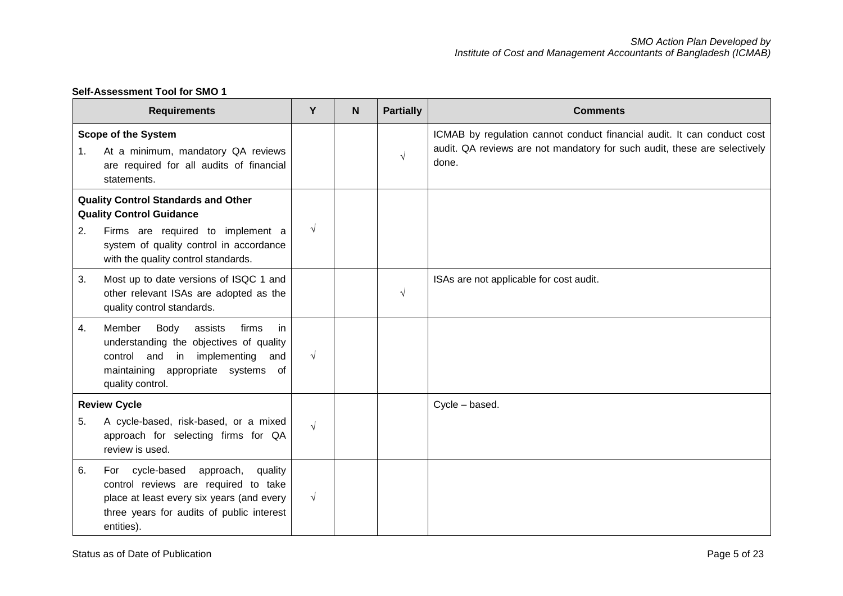|                                                                               | <b>Requirements</b>                                                                                                                                                                       | Y          | N | <b>Partially</b> | <b>Comments</b>                                                                                                                                               |
|-------------------------------------------------------------------------------|-------------------------------------------------------------------------------------------------------------------------------------------------------------------------------------------|------------|---|------------------|---------------------------------------------------------------------------------------------------------------------------------------------------------------|
| 1.                                                                            | <b>Scope of the System</b><br>At a minimum, mandatory QA reviews<br>are required for all audits of financial<br>statements.                                                               |            |   | $\sqrt{}$        | ICMAB by regulation cannot conduct financial audit. It can conduct cost<br>audit. QA reviews are not mandatory for such audit, these are selectively<br>done. |
| <b>Quality Control Standards and Other</b><br><b>Quality Control Guidance</b> |                                                                                                                                                                                           |            |   |                  |                                                                                                                                                               |
| 2.                                                                            | Firms are required to implement a<br>system of quality control in accordance<br>with the quality control standards.                                                                       | $\sqrt{ }$ |   |                  |                                                                                                                                                               |
| 3.                                                                            | Most up to date versions of ISQC 1 and<br>other relevant ISAs are adopted as the<br>quality control standards.                                                                            |            |   | $\sqrt{ }$       | ISAs are not applicable for cost audit.                                                                                                                       |
| 4.                                                                            | Body<br>Member<br>assists<br>firms<br>in<br>understanding the objectives of quality<br>control and<br>implementing<br>in<br>and<br>maintaining appropriate systems of<br>quality control. | $\sqrt{ }$ |   |                  |                                                                                                                                                               |
|                                                                               | <b>Review Cycle</b>                                                                                                                                                                       |            |   |                  | Cycle - based.                                                                                                                                                |
| 5.                                                                            | A cycle-based, risk-based, or a mixed<br>approach for selecting firms for QA<br>review is used.                                                                                           | $\sqrt{ }$ |   |                  |                                                                                                                                                               |
| 6.                                                                            | For cycle-based<br>approach,<br>quality<br>control reviews are required to take<br>place at least every six years (and every<br>three years for audits of public interest<br>entities).   | $\sqrt{ }$ |   |                  |                                                                                                                                                               |

## **Self-Assessment Tool for SMO 1**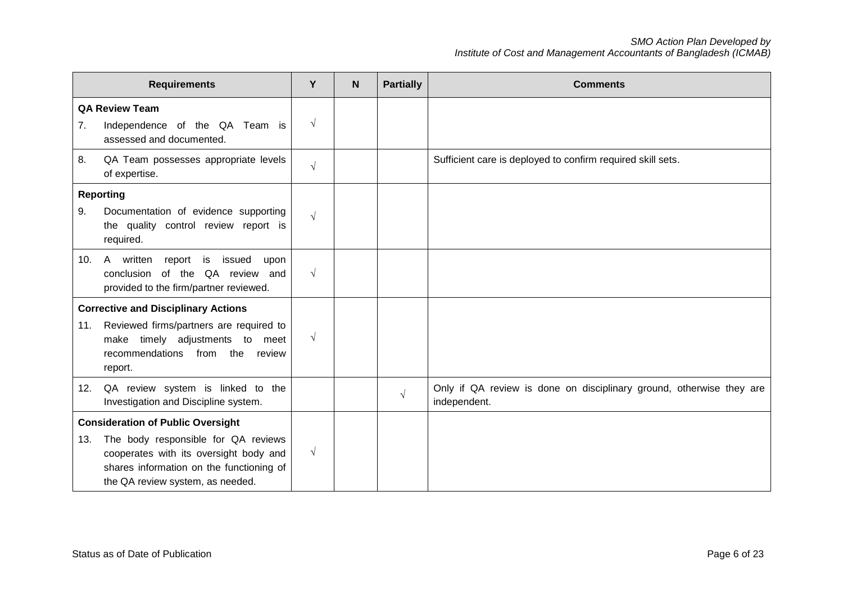|                                                                                           | <b>Requirements</b>                                                                                                                                                                                       | Y          | N | <b>Partially</b> | <b>Comments</b>                                                                      |
|-------------------------------------------------------------------------------------------|-----------------------------------------------------------------------------------------------------------------------------------------------------------------------------------------------------------|------------|---|------------------|--------------------------------------------------------------------------------------|
| <b>QA Review Team</b><br>Independence of the QA Team is<br>7.<br>assessed and documented. |                                                                                                                                                                                                           | $\sqrt{ }$ |   |                  |                                                                                      |
| 8.                                                                                        | QA Team possesses appropriate levels<br>of expertise.                                                                                                                                                     | $\sqrt{ }$ |   |                  | Sufficient care is deployed to confirm required skill sets.                          |
| 9.                                                                                        | <b>Reporting</b><br>Documentation of evidence supporting<br>the quality control review report is<br>required.                                                                                             | $\sqrt{ }$ |   |                  |                                                                                      |
| 10.                                                                                       | A written<br>report<br>is<br>issued<br>upon<br>of the QA review and<br>conclusion<br>provided to the firm/partner reviewed.                                                                               | $\sqrt{ }$ |   |                  |                                                                                      |
| 11.                                                                                       | <b>Corrective and Disciplinary Actions</b><br>Reviewed firms/partners are required to<br>make timely adjustments to<br>meet<br>recommendations from the<br>review<br>report.                              | $\sqrt{ }$ |   |                  |                                                                                      |
| 12.                                                                                       | QA review system is linked to the<br>Investigation and Discipline system.                                                                                                                                 |            |   | $\sqrt{ }$       | Only if QA review is done on disciplinary ground, otherwise they are<br>independent. |
| 13.                                                                                       | <b>Consideration of Public Oversight</b><br>The body responsible for QA reviews<br>cooperates with its oversight body and<br>shares information on the functioning of<br>the QA review system, as needed. | $\sqrt{ }$ |   |                  |                                                                                      |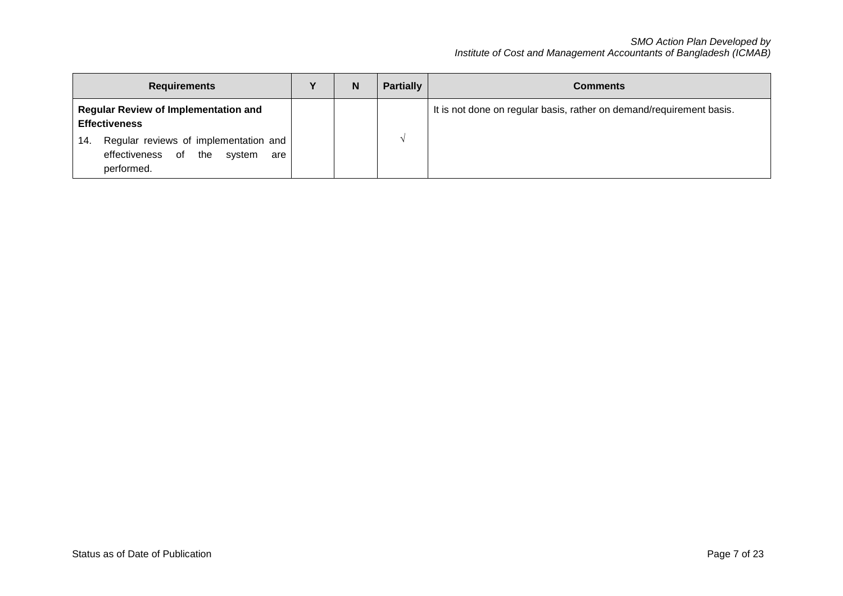| <b>Requirements</b>                                                                                       | N | <b>Partially</b> | <b>Comments</b>                                                      |
|-----------------------------------------------------------------------------------------------------------|---|------------------|----------------------------------------------------------------------|
| <b>Regular Review of Implementation and</b><br><b>Effectiveness</b>                                       |   |                  | It is not done on regular basis, rather on demand/requirement basis. |
| Regular reviews of implementation and<br>14.<br>of<br>effectiveness<br>the<br>svstem<br>are<br>performed. |   |                  |                                                                      |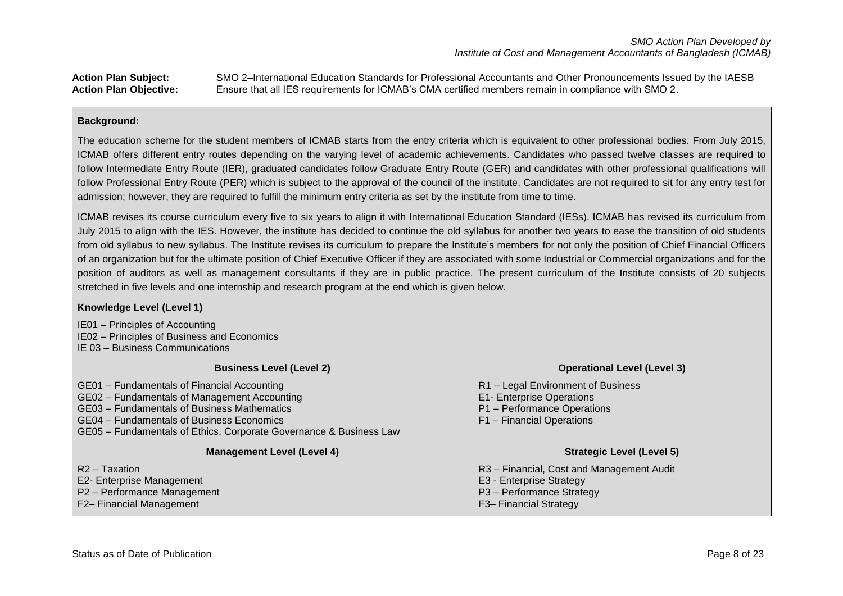**Action Plan Subject:** SMO 2–International Education Standards for Professional Accountants and Other Pronouncements Issued by the IAESB **Action Plan Objective:** Ensure that all IES requirements for ICMAB's CMA certified members remain in compliance with SMO 2.

### **Background:**

The education scheme for the student members of ICMAB starts from the entry criteria which is equivalent to other professional bodies. From July 2015, ICMAB offers different entry routes depending on the varying level of academic achievements. Candidates who passed twelve classes are required to follow Intermediate Entry Route (IER), graduated candidates follow Graduate Entry Route (GER) and candidates with other professional qualifications will follow Professional Entry Route (PER) which is subject to the approval of the council of the institute. Candidates are not required to sit for any entry test for admission; however, they are required to fulfill the minimum entry criteria as set by the institute from time to time.

ICMAB revises its course curriculum every five to six years to align it with International Education Standard (IESs). ICMAB has revised its curriculum from July 2015 to align with the IES. However, the institute has decided to continue the old syllabus for another two years to ease the transition of old students from old syllabus to new syllabus. The Institute revises its curriculum to prepare the Institute's members for not only the position of Chief Financial Officers of an organization but for the ultimate position of Chief Executive Officer if they are associated with some Industrial or Commercial organizations and for the position of auditors as well as management consultants if they are in public practice. The present curriculum of the Institute consists of 20 subjects stretched in five levels and one internship and research program at the end which is given below.

### **Knowledge Level (Level 1)**

IE01 – Principles of Accounting IE02 – Principles of Business and Economics

IE 03 – Business Communications

#### **Business Level (Level 2)**

GE01 – Fundamentals of Financial Accounting

- GE02 Fundamentals of Management Accounting
- GE03 Fundamentals of Business Mathematics
- GE04 Fundamentals of Business Economics
- GE05 Fundamentals of Ethics, Corporate Governance & Business Law

### **Management Level (Level 4)**

R2 – Taxation

- E2- Enterprise Management
- P2 Performance Management
- F2– Financial Management

### **Operational Level (Level 3)**

- R1 Legal Environment of Business E1- Enterprise Operations P1 – Performance Operations
- F1 Financial Operations

## **Strategic Level (Level 5)**

- R3 Financial, Cost and Management Audit
- E3 Enterprise Strategy
- P3 Performance Strategy
- F3– Financial Strategy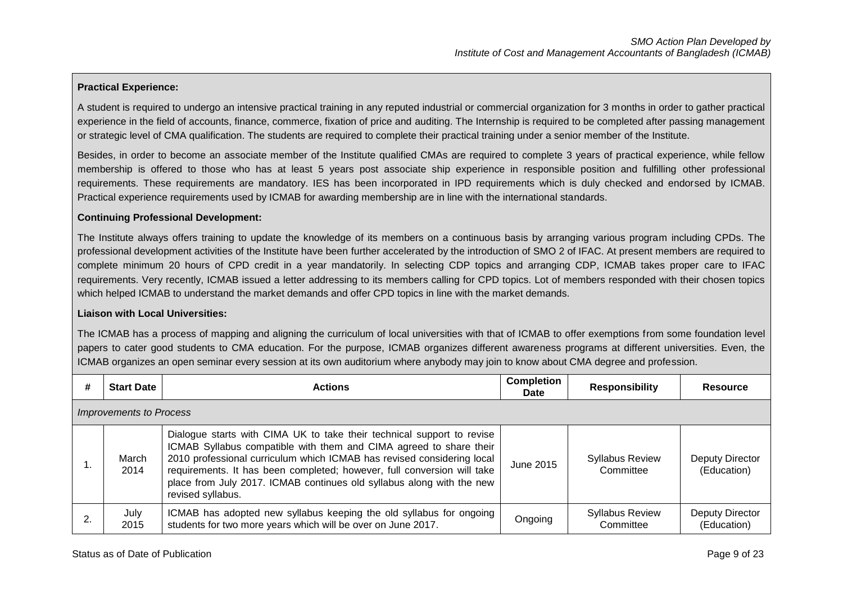## **Practical Experience:**

A student is required to undergo an intensive practical training in any reputed industrial or commercial organization for 3 months in order to gather practical experience in the field of accounts, finance, commerce, fixation of price and auditing. The Internship is required to be completed after passing management or strategic level of CMA qualification. The students are required to complete their practical training under a senior member of the Institute.

Besides, in order to become an associate member of the Institute qualified CMAs are required to complete 3 years of practical experience, while fellow membership is offered to those who has at least 5 years post associate ship experience in responsible position and fulfilling other professional requirements. These requirements are mandatory. IES has been incorporated in IPD requirements which is duly checked and endorsed by ICMAB. Practical experience requirements used by ICMAB for awarding membership are in line with the international standards.

#### **Continuing Professional Development:**

The Institute always offers training to update the knowledge of its members on a continuous basis by arranging various program including CPDs. The professional development activities of the Institute have been further accelerated by the introduction of SMO 2 of IFAC. At present members are required to complete minimum 20 hours of CPD credit in a year mandatorily. In selecting CDP topics and arranging CDP, ICMAB takes proper care to IFAC requirements. Very recently, ICMAB issued a letter addressing to its members calling for CPD topics. Lot of members responded with their chosen topics which helped ICMAB to understand the market demands and offer CPD topics in line with the market demands.

#### **Liaison with Local Universities:**

The ICMAB has a process of mapping and aligning the curriculum of local universities with that of ICMAB to offer exemptions from some foundation level papers to cater good students to CMA education. For the purpose, ICMAB organizes different awareness programs at different universities. Even, the ICMAB organizes an open seminar every session at its own auditorium where anybody may join to know about CMA degree and profession.

| # | <b>Start Date</b>              | <b>Actions</b>                                                                                                                                                                                                                                                                                                                                                                                  | <b>Completion</b><br>Date | <b>Responsibility</b>               | <b>Resource</b>                |  |
|---|--------------------------------|-------------------------------------------------------------------------------------------------------------------------------------------------------------------------------------------------------------------------------------------------------------------------------------------------------------------------------------------------------------------------------------------------|---------------------------|-------------------------------------|--------------------------------|--|
|   | <b>Improvements to Process</b> |                                                                                                                                                                                                                                                                                                                                                                                                 |                           |                                     |                                |  |
|   | March<br>2014                  | Dialogue starts with CIMA UK to take their technical support to revise<br>ICMAB Syllabus compatible with them and CIMA agreed to share their<br>2010 professional curriculum which ICMAB has revised considering local<br>requirements. It has been completed; however, full conversion will take<br>place from July 2017. ICMAB continues old syllabus along with the new<br>revised syllabus. | June 2015                 | <b>Syllabus Review</b><br>Committee | Deputy Director<br>(Education) |  |
|   | July<br>2015                   | ICMAB has adopted new syllabus keeping the old syllabus for ongoing<br>students for two more years which will be over on June 2017.                                                                                                                                                                                                                                                             | Ongoing                   | <b>Syllabus Review</b><br>Committee | Deputy Director<br>(Education) |  |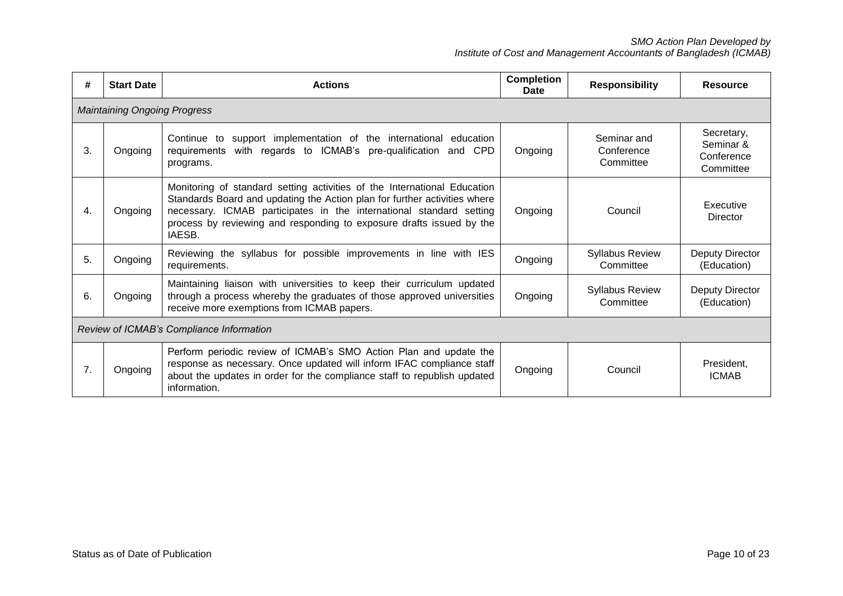| #  | <b>Start Date</b>                        | <b>Actions</b>                                                                                                                                                                                                                                                                                                 | <b>Completion</b><br>Date | <b>Responsibility</b>                  | <b>Resource</b>                                    |  |  |
|----|------------------------------------------|----------------------------------------------------------------------------------------------------------------------------------------------------------------------------------------------------------------------------------------------------------------------------------------------------------------|---------------------------|----------------------------------------|----------------------------------------------------|--|--|
|    | <b>Maintaining Ongoing Progress</b>      |                                                                                                                                                                                                                                                                                                                |                           |                                        |                                                    |  |  |
| 3. | Ongoing                                  | support implementation of the international education<br>Continue to<br>with regards to ICMAB's pre-qualification and CPD<br>requirements<br>programs.                                                                                                                                                         | Ongoing                   | Seminar and<br>Conference<br>Committee | Secretary,<br>Seminar &<br>Conference<br>Committee |  |  |
| 4. | Ongoing                                  | Monitoring of standard setting activities of the International Education<br>Standards Board and updating the Action plan for further activities where<br>necessary. ICMAB participates in the international standard setting<br>process by reviewing and responding to exposure drafts issued by the<br>IAESB. | Ongoing                   | Council                                | Executive<br>Director                              |  |  |
| 5. | Ongoing                                  | Reviewing the syllabus for possible improvements in line with IES<br>requirements.                                                                                                                                                                                                                             | Ongoing                   | <b>Syllabus Review</b><br>Committee    | Deputy Director<br>(Education)                     |  |  |
| 6. | Ongoing                                  | Maintaining liaison with universities to keep their curriculum updated<br>through a process whereby the graduates of those approved universities<br>receive more exemptions from ICMAB papers.                                                                                                                 | Ongoing                   | <b>Syllabus Review</b><br>Committee    | Deputy Director<br>(Education)                     |  |  |
|    | Review of ICMAB's Compliance Information |                                                                                                                                                                                                                                                                                                                |                           |                                        |                                                    |  |  |
| 7. | Ongoing                                  | Perform periodic review of ICMAB's SMO Action Plan and update the<br>response as necessary. Once updated will inform IFAC compliance staff<br>about the updates in order for the compliance staff to republish updated<br>information.                                                                         | Ongoing                   | Council                                | President,<br><b>ICMAB</b>                         |  |  |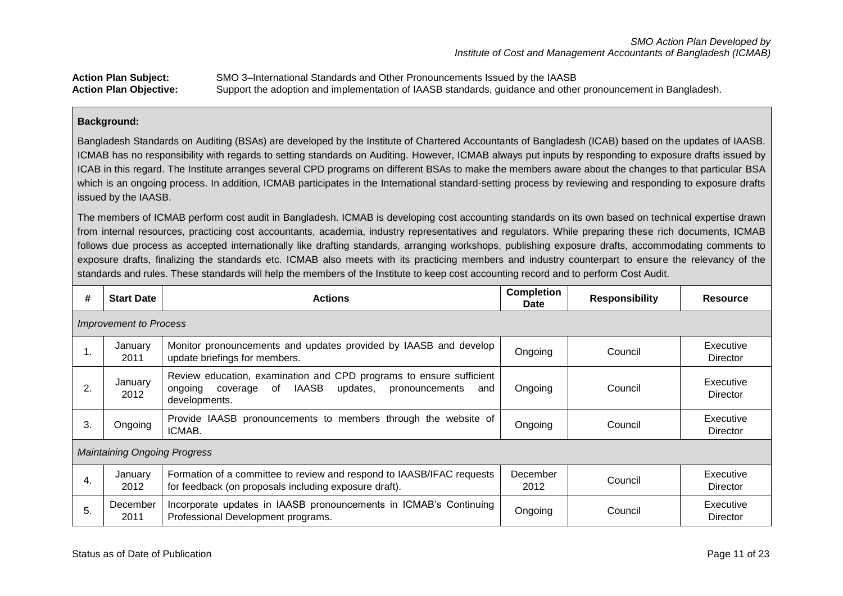## **Action Plan Subject:** SMO 3–International Standards and Other Pronouncements Issued by the IAASB **Action Plan Objective:** Support the adoption and implementation of IAASB standards, guidance and other pronouncement in Bangladesh.

### **Background:**

Bangladesh Standards on Auditing (BSAs) are developed by the Institute of Chartered Accountants of Bangladesh (ICAB) based on the updates of IAASB. ICMAB has no responsibility with regards to setting standards on Auditing. However, ICMAB always put inputs by responding to exposure drafts issued by ICAB in this regard. The Institute arranges several CPD programs on different BSAs to make the members aware about the changes to that particular BSA which is an ongoing process. In addition, ICMAB participates in the International standard-setting process by reviewing and responding to exposure drafts issued by the IAASB.

The members of ICMAB perform cost audit in Bangladesh. ICMAB is developing cost accounting standards on its own based on technical expertise drawn from internal resources, practicing cost accountants, academia, industry representatives and regulators. While preparing these rich documents, ICMAB follows due process as accepted internationally like drafting standards, arranging workshops, publishing exposure drafts, accommodating comments to exposure drafts, finalizing the standards etc. ICMAB also meets with its practicing members and industry counterpart to ensure the relevancy of the standards and rules. These standards will help the members of the Institute to keep cost accounting record and to perform Cost Audit.

| #  | <b>Start Date</b>                   | <b>Actions</b>                                                                                                                                                         | <b>Completion</b><br><b>Date</b> | <b>Responsibility</b> | <b>Resource</b>       |  |  |
|----|-------------------------------------|------------------------------------------------------------------------------------------------------------------------------------------------------------------------|----------------------------------|-----------------------|-----------------------|--|--|
|    | <b>Improvement to Process</b>       |                                                                                                                                                                        |                                  |                       |                       |  |  |
|    | January<br>2011                     | Monitor pronouncements and updates provided by IAASB and develop<br>update briefings for members.                                                                      | Ongoing                          | Council               | Executive<br>Director |  |  |
| 2. | January<br>2012                     | Review education, examination and CPD programs to ensure sufficient<br><b>IAASB</b><br>of<br>updates.<br>ongoing<br>coverage<br>pronouncements<br>and<br>developments. | Ongoing                          | Council               | Executive<br>Director |  |  |
| 3. | Ongoing                             | Provide IAASB pronouncements to members through the website of<br>ICMAB.                                                                                               | Ongoing                          | Council               | Executive<br>Director |  |  |
|    | <b>Maintaining Ongoing Progress</b> |                                                                                                                                                                        |                                  |                       |                       |  |  |
| 4. | January<br>2012                     | Formation of a committee to review and respond to IAASB/IFAC requests<br>for feedback (on proposals including exposure draft).                                         | December<br>2012                 | Council               | Executive<br>Director |  |  |
| 5. | December<br>2011                    | Incorporate updates in IAASB pronouncements in ICMAB's Continuing<br>Professional Development programs.                                                                | Ongoing                          | Council               | Executive<br>Director |  |  |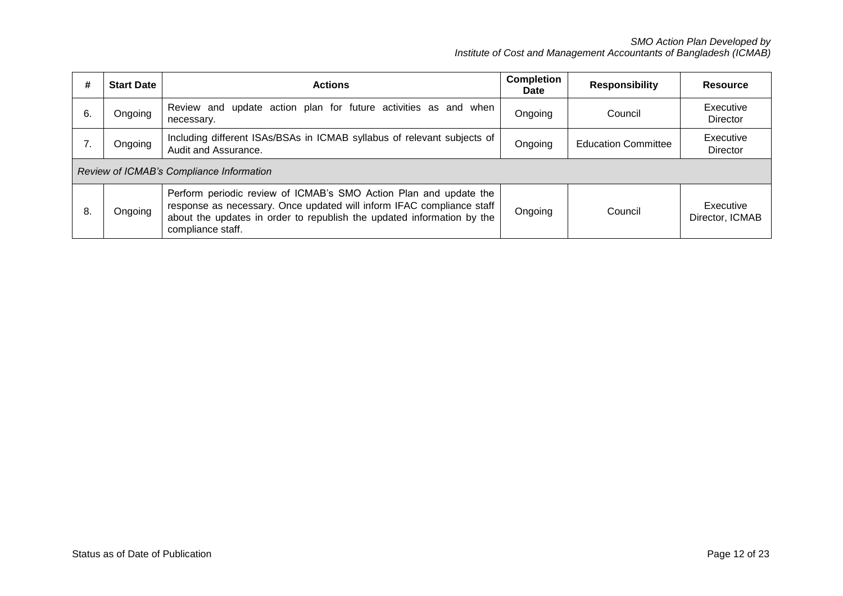| #  | <b>Start Date</b>                        | <b>Actions</b>                                                                                                                                                                                                                            | <b>Completion</b><br>Date | <b>Responsibility</b>      | Resource                     |  |
|----|------------------------------------------|-------------------------------------------------------------------------------------------------------------------------------------------------------------------------------------------------------------------------------------------|---------------------------|----------------------------|------------------------------|--|
| 6. | Ongoing                                  | Review and update action plan for future activities as and when<br>necessary.                                                                                                                                                             | Ongoing                   | Council                    | Executive<br>Director        |  |
|    | Ongoing                                  | Including different ISAs/BSAs in ICMAB syllabus of relevant subjects of<br>Audit and Assurance.                                                                                                                                           | Ongoing                   | <b>Education Committee</b> | Executive<br>Director        |  |
|    | Review of ICMAB's Compliance Information |                                                                                                                                                                                                                                           |                           |                            |                              |  |
| 8. | Ongoing                                  | Perform periodic review of ICMAB's SMO Action Plan and update the<br>response as necessary. Once updated will inform IFAC compliance staff<br>about the updates in order to republish the updated information by the<br>compliance staff. | Ongoing                   | Council                    | Executive<br>Director, ICMAB |  |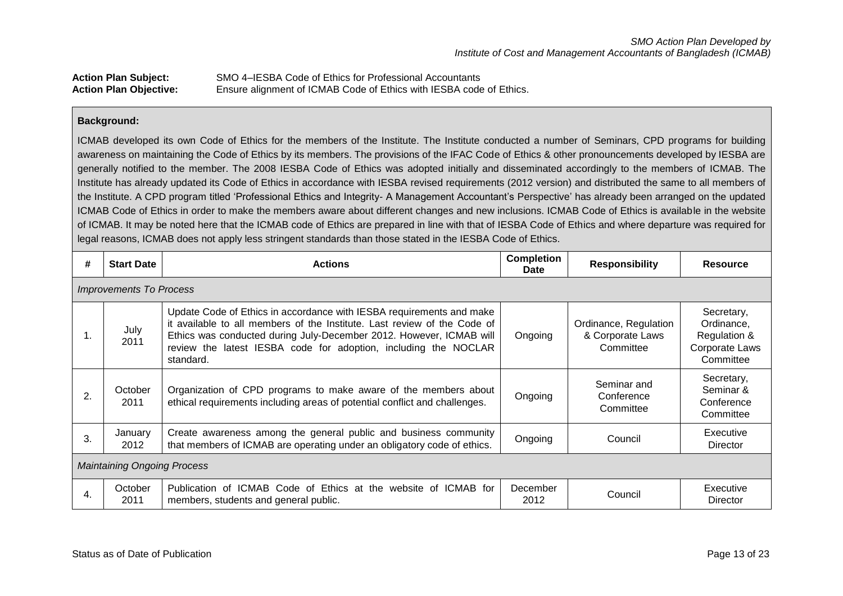| <b>Action Plan Subject:</b>   | SMO 4–IESBA Code of Ethics for Professional Accountants             |
|-------------------------------|---------------------------------------------------------------------|
| <b>Action Plan Objective:</b> | Ensure alignment of ICMAB Code of Ethics with IESBA code of Ethics. |

### **Background:**

ICMAB developed its own Code of Ethics for the members of the Institute. The Institute conducted a number of Seminars, CPD programs for building awareness on maintaining the Code of Ethics by its members. The provisions of the IFAC Code of Ethics & other pronouncements developed by IESBA are generally notified to the member. The 2008 IESBA Code of Ethics was adopted initially and disseminated accordingly to the members of ICMAB. The Institute has already updated its Code of Ethics in accordance with IESBA revised requirements (2012 version) and distributed the same to all members of the Institute. A CPD program titled 'Professional Ethics and Integrity- A Management Accountant's Perspective' has already been arranged on the updated ICMAB Code of Ethics in order to make the members aware about different changes and new inclusions. ICMAB Code of Ethics is available in the website of ICMAB. It may be noted here that the ICMAB code of Ethics are prepared in line with that of IESBA Code of Ethics and where departure was required for legal reasons, ICMAB does not apply less stringent standards than those stated in the IESBA Code of Ethics.

| #  | <b>Start Date</b>                  | <b>Actions</b>                                                                                                                                                                                                                                                                                          | <b>Completion</b><br><b>Date</b> | <b>Responsibility</b>                                  | <b>Resource</b>                                                         |  |  |  |
|----|------------------------------------|---------------------------------------------------------------------------------------------------------------------------------------------------------------------------------------------------------------------------------------------------------------------------------------------------------|----------------------------------|--------------------------------------------------------|-------------------------------------------------------------------------|--|--|--|
|    | <i>Improvements To Process</i>     |                                                                                                                                                                                                                                                                                                         |                                  |                                                        |                                                                         |  |  |  |
|    | July<br>2011                       | Update Code of Ethics in accordance with IESBA requirements and make<br>it available to all members of the Institute. Last review of the Code of<br>Ethics was conducted during July-December 2012. However, ICMAB will<br>review the latest IESBA code for adoption, including the NOCLAR<br>standard. | Ongoing                          | Ordinance, Regulation<br>& Corporate Laws<br>Committee | Secretary,<br>Ordinance.<br>Regulation &<br>Corporate Laws<br>Committee |  |  |  |
| 2. | October<br>2011                    | Organization of CPD programs to make aware of the members about<br>ethical requirements including areas of potential conflict and challenges.                                                                                                                                                           | Ongoing                          | Seminar and<br>Conference<br>Committee                 | Secretary,<br>Seminar &<br>Conference<br>Committee                      |  |  |  |
| 3. | January<br>2012                    | Create awareness among the general public and business community<br>that members of ICMAB are operating under an obligatory code of ethics.                                                                                                                                                             | Ongoing                          | Council                                                | Executive<br>Director                                                   |  |  |  |
|    | <b>Maintaining Ongoing Process</b> |                                                                                                                                                                                                                                                                                                         |                                  |                                                        |                                                                         |  |  |  |
| 4. | October<br>2011                    | Publication of ICMAB Code of Ethics at the website of ICMAB for<br>members, students and general public.                                                                                                                                                                                                | December<br>2012                 | Council                                                | Executive<br>Director                                                   |  |  |  |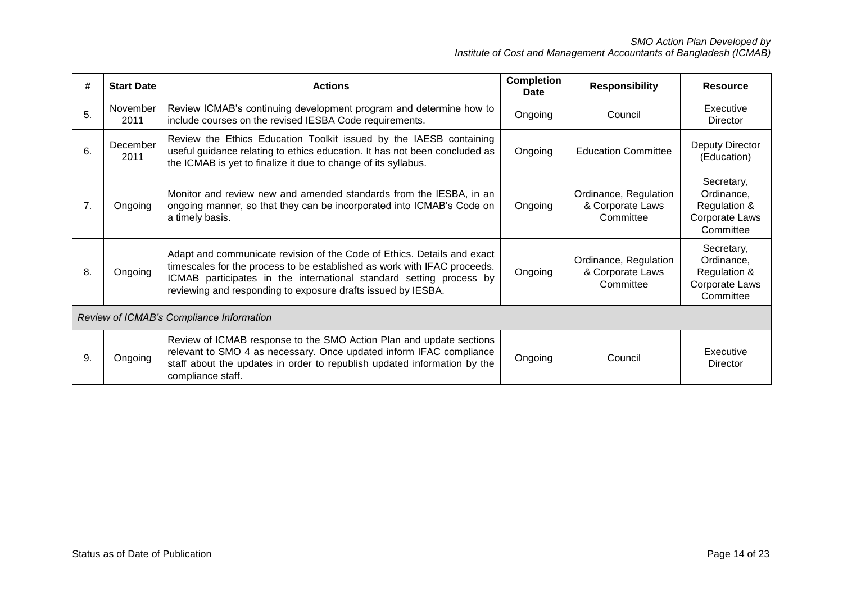| #                                        | <b>Start Date</b> | <b>Actions</b>                                                                                                                                                                                                                                                                             | Completion<br>Date | <b>Responsibility</b>                                  | <b>Resource</b>                                                         |
|------------------------------------------|-------------------|--------------------------------------------------------------------------------------------------------------------------------------------------------------------------------------------------------------------------------------------------------------------------------------------|--------------------|--------------------------------------------------------|-------------------------------------------------------------------------|
| 5.                                       | November<br>2011  | Review ICMAB's continuing development program and determine how to<br>include courses on the revised IESBA Code requirements.                                                                                                                                                              | Ongoing            | Council                                                | Executive<br>Director                                                   |
| 6.                                       | December<br>2011  | Review the Ethics Education Toolkit issued by the IAESB containing<br>useful guidance relating to ethics education. It has not been concluded as<br>the ICMAB is yet to finalize it due to change of its syllabus.                                                                         | Ongoing            | <b>Education Committee</b>                             | Deputy Director<br>(Education)                                          |
| 7.                                       | Ongoing           | Monitor and review new and amended standards from the IESBA, in an<br>ongoing manner, so that they can be incorporated into ICMAB's Code on<br>a timely basis.                                                                                                                             | Ongoing            | Ordinance, Regulation<br>& Corporate Laws<br>Committee | Secretary,<br>Ordinance,<br>Regulation &<br>Corporate Laws<br>Committee |
| 8.                                       | Ongoing           | Adapt and communicate revision of the Code of Ethics. Details and exact<br>timescales for the process to be established as work with IFAC proceeds.<br>ICMAB participates in the international standard setting process by<br>reviewing and responding to exposure drafts issued by IESBA. | Ongoing            | Ordinance, Regulation<br>& Corporate Laws<br>Committee | Secretary,<br>Ordinance,<br>Regulation &<br>Corporate Laws<br>Committee |
| Review of ICMAB's Compliance Information |                   |                                                                                                                                                                                                                                                                                            |                    |                                                        |                                                                         |
| 9.                                       | Ongoing           | Review of ICMAB response to the SMO Action Plan and update sections<br>relevant to SMO 4 as necessary. Once updated inform IFAC compliance<br>staff about the updates in order to republish updated information by the<br>compliance staff.                                                | Ongoing            | Council                                                | Executive<br>Director                                                   |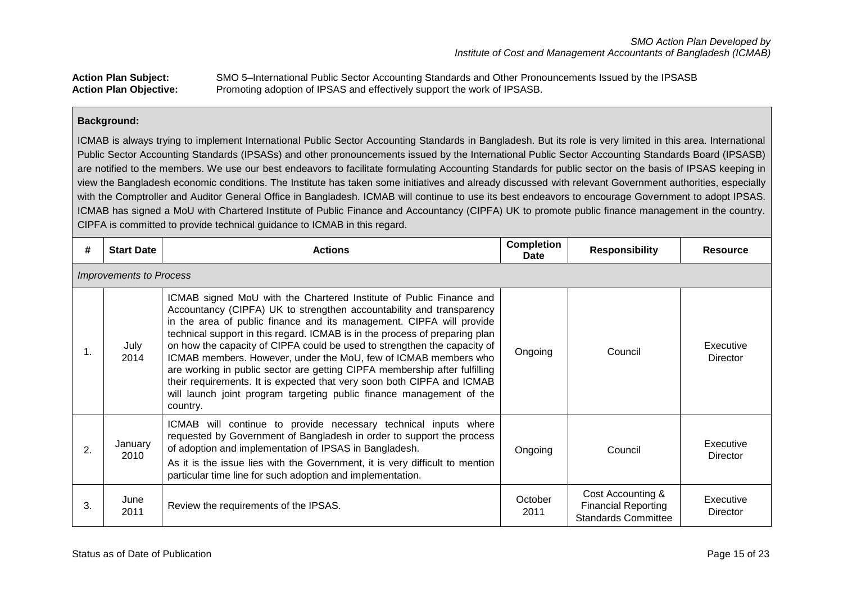## **Action Plan Subject:** SMO 5–International Public Sector Accounting Standards and Other Pronouncements Issued by the IPSASB **Action Plan Objective:** Promoting adoption of IPSAS and effectively support the work of IPSASB.

## **Background:**

ICMAB is always trying to implement International Public Sector Accounting Standards in Bangladesh. But its role is very limited in this area. International Public Sector Accounting Standards (IPSASs) and other pronouncements issued by the International Public Sector Accounting Standards Board (IPSASB) are notified to the members. We use our best endeavors to facilitate formulating Accounting Standards for public sector on the basis of IPSAS keeping in view the Bangladesh economic conditions. The Institute has taken some initiatives and already discussed with relevant Government authorities, especially with the Comptroller and Auditor General Office in Bangladesh. ICMAB will continue to use its best endeavors to encourage Government to adopt IPSAS. ICMAB has signed a MoU with Chartered Institute of Public Finance and Accountancy (CIPFA) UK to promote public finance management in the country. CIPFA is committed to provide technical guidance to ICMAB in this regard.

| #  | <b>Start Date</b>              | <b>Actions</b>                                                                                                                                                                                                                                                                                                                                                                                                                                                                                                                                                                                                                                                                                | <b>Completion</b><br>Date | <b>Responsibility</b>                                                         | <b>Resource</b>              |  |  |  |  |
|----|--------------------------------|-----------------------------------------------------------------------------------------------------------------------------------------------------------------------------------------------------------------------------------------------------------------------------------------------------------------------------------------------------------------------------------------------------------------------------------------------------------------------------------------------------------------------------------------------------------------------------------------------------------------------------------------------------------------------------------------------|---------------------------|-------------------------------------------------------------------------------|------------------------------|--|--|--|--|
|    | <b>Improvements to Process</b> |                                                                                                                                                                                                                                                                                                                                                                                                                                                                                                                                                                                                                                                                                               |                           |                                                                               |                              |  |  |  |  |
| 1. | July<br>2014                   | ICMAB signed MoU with the Chartered Institute of Public Finance and<br>Accountancy (CIPFA) UK to strengthen accountability and transparency<br>in the area of public finance and its management. CIPFA will provide<br>technical support in this regard. ICMAB is in the process of preparing plan<br>on how the capacity of CIPFA could be used to strengthen the capacity of<br>ICMAB members. However, under the MoU, few of ICMAB members who<br>are working in public sector are getting CIPFA membership after fulfilling<br>their requirements. It is expected that very soon both CIPFA and ICMAB<br>will launch joint program targeting public finance management of the<br>country. | Ongoing                   | Council                                                                       | Executive<br><b>Director</b> |  |  |  |  |
| 2. | January<br>2010                | ICMAB will continue to provide necessary technical inputs where<br>requested by Government of Bangladesh in order to support the process<br>of adoption and implementation of IPSAS in Bangladesh.<br>As it is the issue lies with the Government, it is very difficult to mention<br>particular time line for such adoption and implementation.                                                                                                                                                                                                                                                                                                                                              | Ongoing                   | Council                                                                       | Executive<br>Director        |  |  |  |  |
| 3. | June<br>2011                   | Review the requirements of the IPSAS.                                                                                                                                                                                                                                                                                                                                                                                                                                                                                                                                                                                                                                                         | October<br>2011           | Cost Accounting &<br><b>Financial Reporting</b><br><b>Standards Committee</b> | Executive<br><b>Director</b> |  |  |  |  |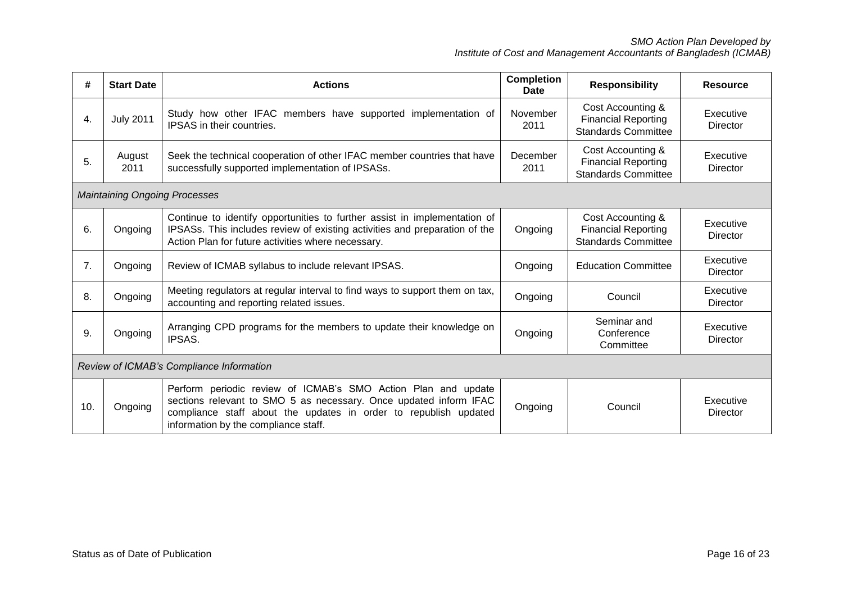| #   | <b>Start Date</b>                        | <b>Actions</b>                                                                                                                                                                                                                                 | <b>Completion</b><br><b>Date</b> | <b>Responsibility</b>                                                         | <b>Resource</b>              |  |
|-----|------------------------------------------|------------------------------------------------------------------------------------------------------------------------------------------------------------------------------------------------------------------------------------------------|----------------------------------|-------------------------------------------------------------------------------|------------------------------|--|
| 4.  | <b>July 2011</b>                         | Study how other IFAC members have supported implementation of<br>IPSAS in their countries.                                                                                                                                                     | November<br>2011                 | Cost Accounting &<br><b>Financial Reporting</b><br><b>Standards Committee</b> | Executive<br><b>Director</b> |  |
| 5.  | August<br>2011                           | Seek the technical cooperation of other IFAC member countries that have<br>successfully supported implementation of IPSASs.                                                                                                                    | December<br>2011                 | Cost Accounting &<br><b>Financial Reporting</b><br><b>Standards Committee</b> | Executive<br>Director        |  |
|     |                                          | <b>Maintaining Ongoing Processes</b>                                                                                                                                                                                                           |                                  |                                                                               |                              |  |
| 6.  | Ongoing                                  | Continue to identify opportunities to further assist in implementation of<br>IPSASs. This includes review of existing activities and preparation of the<br>Action Plan for future activities where necessary.                                  | Ongoing                          | Cost Accounting &<br><b>Financial Reporting</b><br><b>Standards Committee</b> | Executive<br><b>Director</b> |  |
| 7.  | Ongoing                                  | Review of ICMAB syllabus to include relevant IPSAS.                                                                                                                                                                                            | Ongoing                          | <b>Education Committee</b>                                                    | Executive<br><b>Director</b> |  |
| 8.  | Ongoing                                  | Meeting regulators at regular interval to find ways to support them on tax,<br>accounting and reporting related issues.                                                                                                                        | Ongoing                          | Council                                                                       | Executive<br><b>Director</b> |  |
| 9.  | Ongoing                                  | Arranging CPD programs for the members to update their knowledge on<br>IPSAS.                                                                                                                                                                  | Ongoing                          | Seminar and<br>Conference<br>Committee                                        | Executive<br><b>Director</b> |  |
|     | Review of ICMAB's Compliance Information |                                                                                                                                                                                                                                                |                                  |                                                                               |                              |  |
| 10. | Ongoing                                  | Perform periodic review of ICMAB's SMO Action Plan and update<br>sections relevant to SMO 5 as necessary. Once updated inform IFAC<br>compliance staff about the updates in order to republish updated<br>information by the compliance staff. | Ongoing                          | Council                                                                       | Executive<br>Director        |  |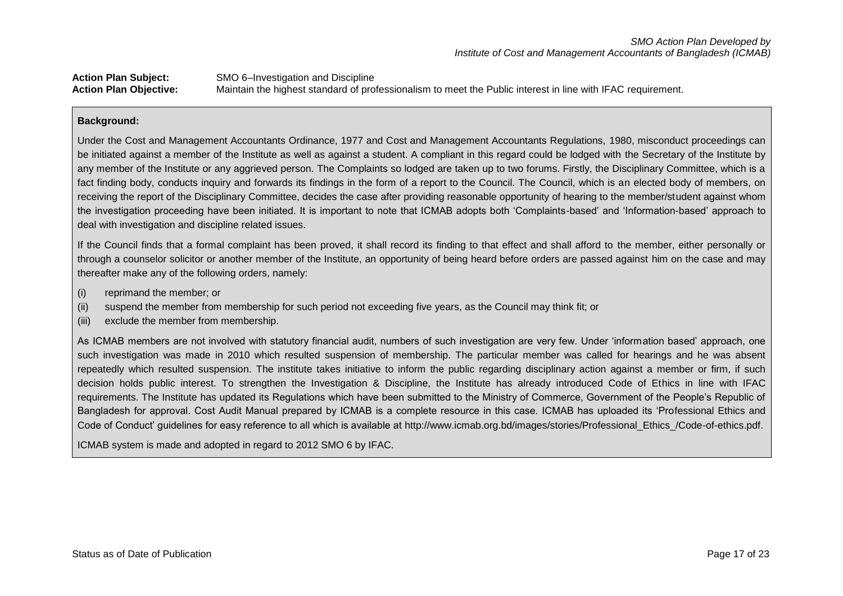**Action Plan Subject:** SMO 6–Investigation and Discipline **Action Plan Objective:** Maintain the highest standard of professionalism to meet the Public interest in line with IFAC requirement.

#### **Background:**

Under the Cost and Management Accountants Ordinance, 1977 and Cost and Management Accountants Regulations, 1980, misconduct proceedings can be initiated against a member of the Institute as well as against a student. A compliant in this regard could be lodged with the Secretary of the Institute by any member of the Institute or any aggrieved person. The Complaints so lodged are taken up to two forums. Firstly, the Disciplinary Committee, which is a fact finding body, conducts inquiry and forwards its findings in the form of a report to the Council. The Council, which is an elected body of members, on receiving the report of the Disciplinary Committee, decides the case after providing reasonable opportunity of hearing to the member/student against whom the investigation proceeding have been initiated. It is important to note that ICMAB adopts both 'Complaints-based' and 'Information-based' approach to deal with investigation and discipline related issues.

If the Council finds that a formal complaint has been proved, it shall record its finding to that effect and shall afford to the member, either personally or through a counselor solicitor or another member of the Institute, an opportunity of being heard before orders are passed against him on the case and may thereafter make any of the following orders, namely:

- (i) reprimand the member; or
- (ii) suspend the member from membership for such period not exceeding five years, as the Council may think fit; or
- (iii) exclude the member from membership.

As ICMAB members are not involved with statutory financial audit, numbers of such investigation are very few. Under 'information based' approach, one such investigation was made in 2010 which resulted suspension of membership. The particular member was called for hearings and he was absent repeatedly which resulted suspension. The institute takes initiative to inform the public regarding disciplinary action against a member or firm, if such decision holds public interest. To strengthen the Investigation & Discipline, the Institute has already introduced Code of Ethics in line with IFAC requirements. The Institute has updated its Regulations which have been submitted to the Ministry of Commerce, Government of the People's Republic of Bangladesh for approval. Cost Audit Manual prepared by ICMAB is a complete resource in this case. ICMAB has uploaded its 'Professional Ethics and Code of Conduct' guidelines for easy reference to all which is available at [http://www.icmab.org.bd/images/stories/Professional\\_Ethics\\_/Code-of-ethics.pdf.](http://www.icmab.org.bd/images/stories/Professional_Ethics_/Code-of-ethics.pdf)

ICMAB system is made and adopted in regard to 2012 SMO 6 by IFAC.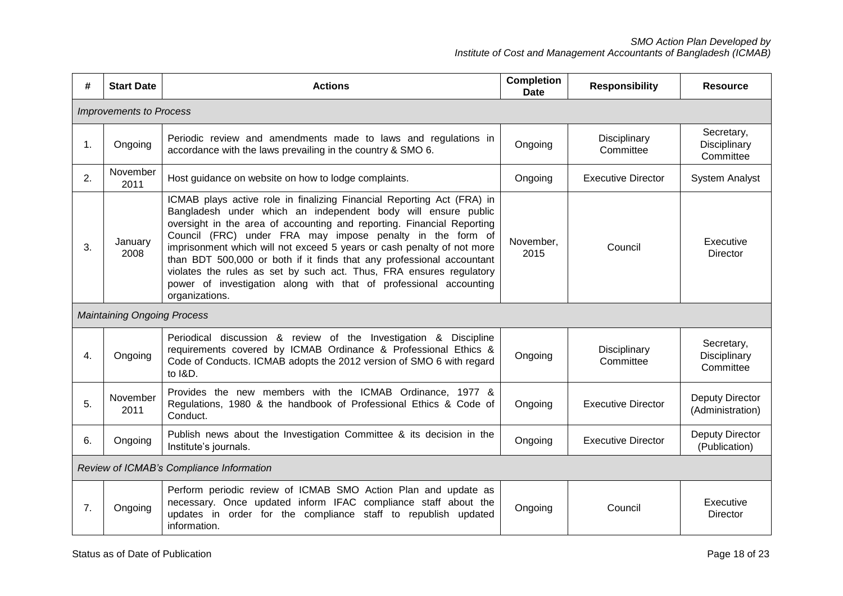| #  | <b>Start Date</b>                        | <b>Actions</b>                                                                                                                                                                                                                                                                                                                                                                                                                                                                                                                                                                                  | <b>Completion</b><br><b>Date</b> | <b>Responsibility</b>     | <b>Resource</b>                         |  |  |
|----|------------------------------------------|-------------------------------------------------------------------------------------------------------------------------------------------------------------------------------------------------------------------------------------------------------------------------------------------------------------------------------------------------------------------------------------------------------------------------------------------------------------------------------------------------------------------------------------------------------------------------------------------------|----------------------------------|---------------------------|-----------------------------------------|--|--|
|    | <b>Improvements to Process</b>           |                                                                                                                                                                                                                                                                                                                                                                                                                                                                                                                                                                                                 |                                  |                           |                                         |  |  |
| 1. | Ongoing                                  | Periodic review and amendments made to laws and regulations in<br>accordance with the laws prevailing in the country & SMO 6.                                                                                                                                                                                                                                                                                                                                                                                                                                                                   | Ongoing                          | Disciplinary<br>Committee | Secretary,<br>Disciplinary<br>Committee |  |  |
| 2. | November<br>2011                         | Host guidance on website on how to lodge complaints.                                                                                                                                                                                                                                                                                                                                                                                                                                                                                                                                            | Ongoing                          | <b>Executive Director</b> | <b>System Analyst</b>                   |  |  |
| 3. | January<br>2008                          | ICMAB plays active role in finalizing Financial Reporting Act (FRA) in<br>Bangladesh under which an independent body will ensure public<br>oversight in the area of accounting and reporting. Financial Reporting<br>Council (FRC) under FRA may impose penalty in the form of<br>imprisonment which will not exceed 5 years or cash penalty of not more<br>than BDT 500,000 or both if it finds that any professional accountant<br>violates the rules as set by such act. Thus, FRA ensures regulatory<br>power of investigation along with that of professional accounting<br>organizations. | November,<br>2015                | Council                   | Executive<br><b>Director</b>            |  |  |
|    | <b>Maintaining Ongoing Process</b>       |                                                                                                                                                                                                                                                                                                                                                                                                                                                                                                                                                                                                 |                                  |                           |                                         |  |  |
| 4. | Ongoing                                  | Periodical discussion & review of the Investigation & Discipline<br>requirements covered by ICMAB Ordinance & Professional Ethics &<br>Code of Conducts. ICMAB adopts the 2012 version of SMO 6 with regard<br>to I&D.                                                                                                                                                                                                                                                                                                                                                                          | Ongoing                          | Disciplinary<br>Committee | Secretary,<br>Disciplinary<br>Committee |  |  |
| 5. | November<br>2011                         | Provides the new members with the ICMAB Ordinance, 1977 &<br>Regulations, 1980 & the handbook of Professional Ethics & Code of<br>Conduct.                                                                                                                                                                                                                                                                                                                                                                                                                                                      | Ongoing                          | <b>Executive Director</b> | Deputy Director<br>(Administration)     |  |  |
| 6. | Ongoing                                  | Publish news about the Investigation Committee & its decision in the<br>Institute's journals.                                                                                                                                                                                                                                                                                                                                                                                                                                                                                                   | Ongoing                          | <b>Executive Director</b> | <b>Deputy Director</b><br>(Publication) |  |  |
|    | Review of ICMAB's Compliance Information |                                                                                                                                                                                                                                                                                                                                                                                                                                                                                                                                                                                                 |                                  |                           |                                         |  |  |
| 7. | Ongoing                                  | Perform periodic review of ICMAB SMO Action Plan and update as<br>necessary. Once updated inform IFAC compliance staff about the<br>updates in order for the compliance staff to republish updated<br>information.                                                                                                                                                                                                                                                                                                                                                                              | Ongoing                          | Council                   | Executive<br>Director                   |  |  |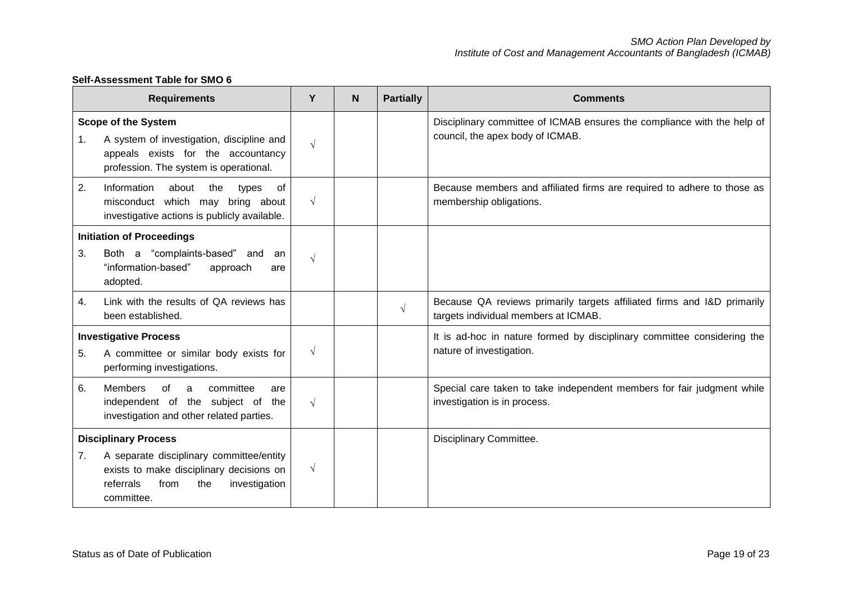|    | <b>Requirements</b>                                                                                                                                     | Y          | <b>N</b> | <b>Partially</b> | <b>Comments</b>                                                                                                 |
|----|---------------------------------------------------------------------------------------------------------------------------------------------------------|------------|----------|------------------|-----------------------------------------------------------------------------------------------------------------|
| 1. | <b>Scope of the System</b><br>A system of investigation, discipline and<br>appeals exists for the accountancy<br>profession. The system is operational. | $\sqrt{ }$ |          |                  | Disciplinary committee of ICMAB ensures the compliance with the help of<br>council, the apex body of ICMAB.     |
| 2. | Information<br>the<br>about<br>types<br>οf<br>misconduct which may bring about<br>investigative actions is publicly available.                          | $\sqrt{ }$ |          |                  | Because members and affiliated firms are required to adhere to those as<br>membership obligations.              |
|    | <b>Initiation of Proceedings</b>                                                                                                                        |            |          |                  |                                                                                                                 |
| 3. | Both a "complaints-based" and<br>an<br>"information-based"<br>approach<br>are<br>adopted.                                                               | $\sqrt{ }$ |          |                  |                                                                                                                 |
| 4. | Link with the results of QA reviews has<br>been established.                                                                                            |            |          | $\sqrt{}$        | Because QA reviews primarily targets affiliated firms and I&D primarily<br>targets individual members at ICMAB. |
|    | <b>Investigative Process</b>                                                                                                                            |            |          |                  | It is ad-hoc in nature formed by disciplinary committee considering the                                         |
| 5. | A committee or similar body exists for<br>performing investigations.                                                                                    | $\sqrt{ }$ |          |                  | nature of investigation.                                                                                        |
| 6. | <b>Members</b><br>of<br>committee<br>a<br>are<br>independent of the subject of the<br>investigation and other related parties.                          | $\sqrt{ }$ |          |                  | Special care taken to take independent members for fair judgment while<br>investigation is in process.          |
|    | <b>Disciplinary Process</b>                                                                                                                             |            |          |                  | Disciplinary Committee.                                                                                         |
| 7. | A separate disciplinary committee/entity<br>exists to make disciplinary decisions on<br>investigation<br>referrals<br>from<br>the<br>committee.         | $\sqrt{ }$ |          |                  |                                                                                                                 |

# **Self-Assessment Table for SMO 6**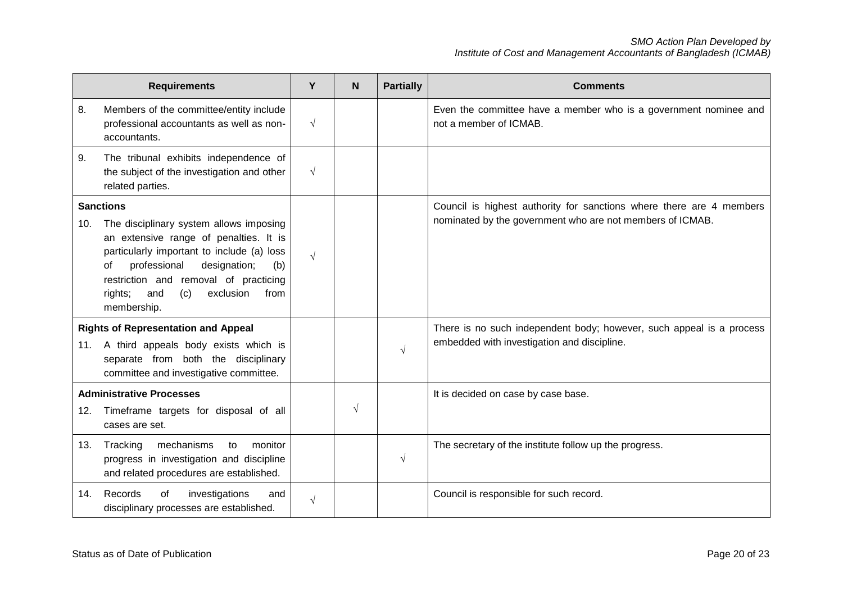|     | <b>Requirements</b>                                                                                                                                                                                                                                                                                    | Y          | N          | <b>Partially</b> | <b>Comments</b>                                                                                                                   |
|-----|--------------------------------------------------------------------------------------------------------------------------------------------------------------------------------------------------------------------------------------------------------------------------------------------------------|------------|------------|------------------|-----------------------------------------------------------------------------------------------------------------------------------|
| 8.  | Members of the committee/entity include<br>professional accountants as well as non-<br>accountants.                                                                                                                                                                                                    | $\sqrt{ }$ |            |                  | Even the committee have a member who is a government nominee and<br>not a member of ICMAB.                                        |
| 9.  | The tribunal exhibits independence of<br>the subject of the investigation and other<br>related parties.                                                                                                                                                                                                | $\sqrt{ }$ |            |                  |                                                                                                                                   |
| 10. | <b>Sanctions</b><br>The disciplinary system allows imposing<br>an extensive range of penalties. It is<br>particularly important to include (a) loss<br>professional<br>designation;<br>of<br>(b)<br>restriction and removal of practicing<br>exclusion<br>rights;<br>and<br>(c)<br>from<br>membership. | $\sqrt{ }$ |            |                  | Council is highest authority for sanctions where there are 4 members<br>nominated by the government who are not members of ICMAB. |
|     | <b>Rights of Representation and Appeal</b><br>11. A third appeals body exists which is<br>separate from both the disciplinary<br>committee and investigative committee.                                                                                                                                |            |            | $\sqrt{ }$       | There is no such independent body; however, such appeal is a process<br>embedded with investigation and discipline.               |
|     | <b>Administrative Processes</b>                                                                                                                                                                                                                                                                        |            |            |                  | It is decided on case by case base.                                                                                               |
| 12. | Timeframe targets for disposal of all<br>cases are set.                                                                                                                                                                                                                                                |            | $\sqrt{ }$ |                  |                                                                                                                                   |
| 13. | mechanisms<br>Tracking<br>monitor<br>to<br>progress in investigation and discipline<br>and related procedures are established.                                                                                                                                                                         |            |            | $\sqrt{ }$       | The secretary of the institute follow up the progress.                                                                            |
| 14. | Records<br>of<br>investigations<br>and<br>disciplinary processes are established.                                                                                                                                                                                                                      | $\sqrt{}$  |            |                  | Council is responsible for such record.                                                                                           |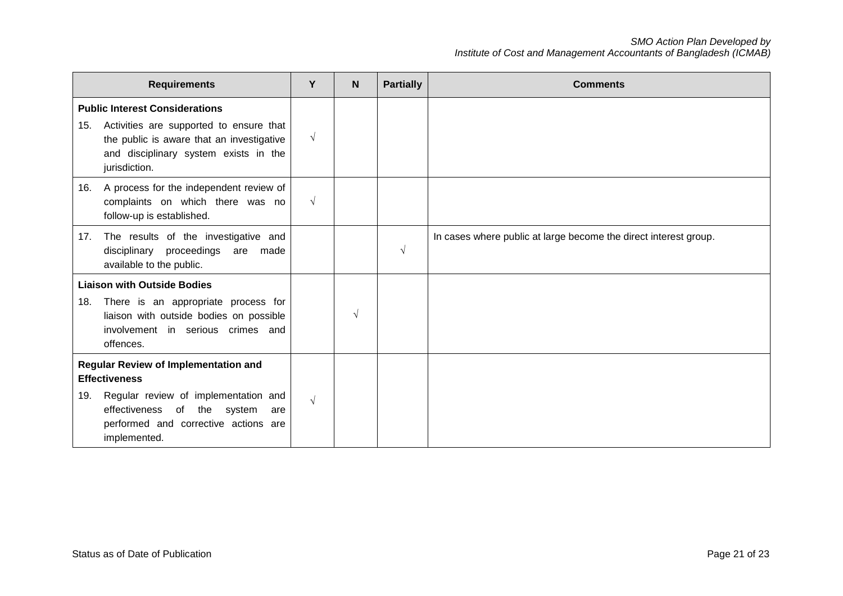|     | <b>Requirements</b>                                                                                                                                                                                       | Y          | N          | <b>Partially</b> | <b>Comments</b>                                                  |
|-----|-----------------------------------------------------------------------------------------------------------------------------------------------------------------------------------------------------------|------------|------------|------------------|------------------------------------------------------------------|
| 15. | <b>Public Interest Considerations</b><br>Activities are supported to ensure that<br>the public is aware that an investigative<br>and disciplinary system exists in the<br>jurisdiction.                   | $\sqrt{ }$ |            |                  |                                                                  |
|     | 16. A process for the independent review of<br>complaints on which there was no<br>follow-up is established.                                                                                              | $\sqrt{ }$ |            |                  |                                                                  |
| 17. | The results of the investigative and<br>disciplinary proceedings are made<br>available to the public.                                                                                                     |            |            | $\sqrt{ }$       | In cases where public at large become the direct interest group. |
| 18. | <b>Liaison with Outside Bodies</b><br>There is an appropriate process for<br>liaison with outside bodies on possible<br>involvement in serious crimes and<br>offences.                                    |            | $\sqrt{ }$ |                  |                                                                  |
| 19. | <b>Regular Review of Implementation and</b><br><b>Effectiveness</b><br>Regular review of implementation and<br>effectiveness of the system<br>are<br>performed and corrective actions are<br>implemented. | $\sqrt{ }$ |            |                  |                                                                  |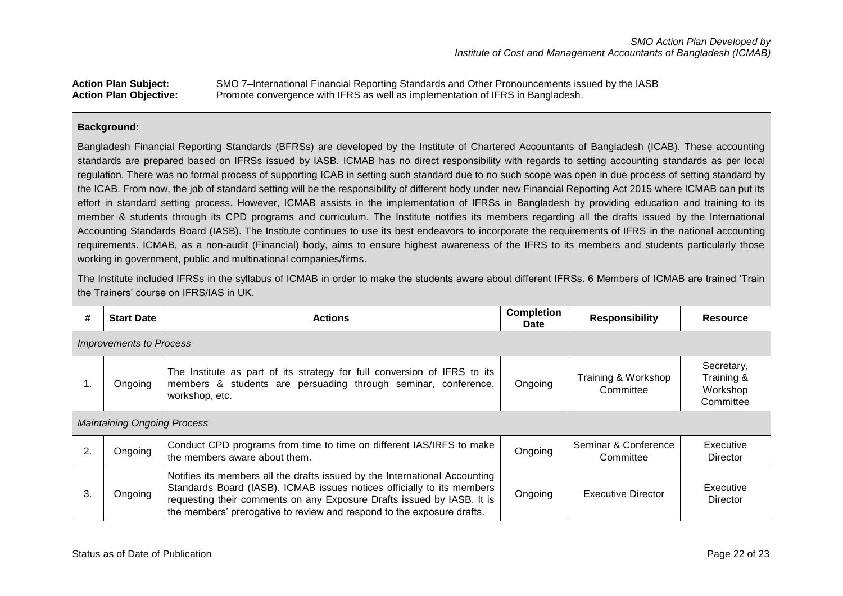## **Action Plan Subject:** SMO 7–International Financial Reporting Standards and Other Pronouncements issued by the IASB **Action Plan Objective:** Promote convergence with IFRS as well as implementation of IFRS in Bangladesh.

#### **Background:**

Bangladesh Financial Reporting Standards (BFRSs) are developed by the Institute of Chartered Accountants of Bangladesh (ICAB). These accounting standards are prepared based on IFRSs issued by IASB. ICMAB has no direct responsibility with regards to setting accounting standards as per local regulation. There was no formal process of supporting ICAB in setting such standard due to no such scope was open in due process of setting standard by the ICAB. From now, the job of standard setting will be the responsibility of different body under new Financial Reporting Act 2015 where ICMAB can put its effort in standard setting process. However, ICMAB assists in the implementation of IFRSs in Bangladesh by providing education and training to its member & students through its CPD programs and curriculum. The Institute notifies its members regarding all the drafts issued by the International Accounting Standards Board (IASB). The Institute continues to use its best endeavors to incorporate the requirements of IFRS in the national accounting requirements. ICMAB, as a non-audit (Financial) body, aims to ensure highest awareness of the IFRS to its members and students particularly those working in government, public and multinational companies/firms.

The Institute included IFRSs in the syllabus of ICMAB in order to make the students aware about different IFRSs. 6 Members of ICMAB are trained 'Train the Trainers' course on IFRS/IAS in UK.

| #                                                                                                                                                                                                                            | <b>Start Date</b>                  | <b>Actions</b>                                                                                                                                                                                                                                                                                           | <b>Completion</b><br><b>Date</b> | <b>Responsibility</b>             | <b>Resource</b>       |  |  |  |  |
|------------------------------------------------------------------------------------------------------------------------------------------------------------------------------------------------------------------------------|------------------------------------|----------------------------------------------------------------------------------------------------------------------------------------------------------------------------------------------------------------------------------------------------------------------------------------------------------|----------------------------------|-----------------------------------|-----------------------|--|--|--|--|
|                                                                                                                                                                                                                              | <b>Improvements to Process</b>     |                                                                                                                                                                                                                                                                                                          |                                  |                                   |                       |  |  |  |  |
| The Institute as part of its strategy for full conversion of IFRS to its<br>Training & Workshop<br>members & students are persuading through seminar, conference,<br>Ongoing<br>Ongoing<br>1.<br>Committee<br>workshop, etc. |                                    |                                                                                                                                                                                                                                                                                                          |                                  |                                   |                       |  |  |  |  |
|                                                                                                                                                                                                                              | <b>Maintaining Ongoing Process</b> |                                                                                                                                                                                                                                                                                                          |                                  |                                   |                       |  |  |  |  |
| 2.                                                                                                                                                                                                                           | Ongoing                            | Conduct CPD programs from time to time on different IAS/IRFS to make<br>the members aware about them.                                                                                                                                                                                                    | Ongoing                          | Seminar & Conference<br>Committee | Executive<br>Director |  |  |  |  |
| 3.                                                                                                                                                                                                                           | Ongoing                            | Notifies its members all the drafts issued by the International Accounting<br>Standards Board (IASB). ICMAB issues notices officially to its members<br>requesting their comments on any Exposure Drafts issued by IASB. It is<br>the members' prerogative to review and respond to the exposure drafts. | Ongoing                          | <b>Executive Director</b>         | Executive<br>Director |  |  |  |  |